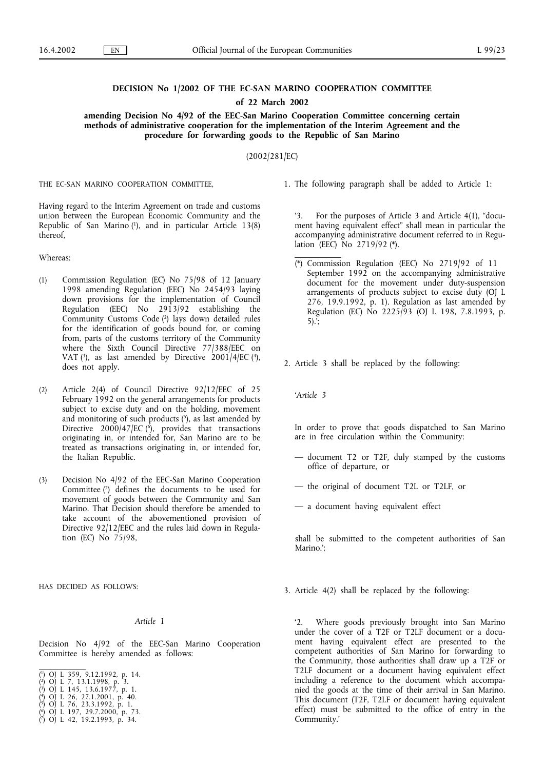## **DECISION No 1/2002 OF THE EC-SAN MARINO COOPERATION COMMITTEE**

**of 22 March 2002**

**amending Decision No 4/92 of the EEC-San Marino Cooperation Committee concerning certain** methods of administrative cooperation for the implementation of the Interim Agreement and the procedure for forwarding goods to the Republic of San Marino

(2002/281/EC)

THE EC-SAN MARINO COOPERATION COMMITTEE,

Having regard to the Interim Agreement on trade and customs union between the European Economic Community and the Republic of San Marino  $(1)$ , and in particular Article 13(8) thereof,

Whereas:

- (1) Commission Regulation (EC) No 75/98of 12 January 1998amending Regulation (EEC) No 2454/93 laying down provisions for the implementation of Council Regulation (EEC) No 2913/92 establishing the Community Customs Code (2) lays down detailed rules for the identification of goods bound for, or coming from, parts of the customs territory of the Community where the Sixth Council Directive 77/388/EEC on VAT  $(3)$ , as last amended by Directive 2001/4/EC  $(4)$ , does not apply.
- (2) Article 2(4) of Council Directive 92/12/EEC of 25 February 1992 on the general arrangements for products subject to excise duty and on the holding, movement and monitoring of such products  $(5)$ , as last amended by Directive 2000/47/EC ( $\hat{\theta}$ ), provides that transactions originating in, or intended for, San Marino are to be treated as transactions originating in, or intended for, the Italian Republic.
- (3) Decision No 4/92 of the EEC-San Marino Cooperation Committee (7) defines the documents to be used for movement of goods between the Community and San Marino. That Decision should therefore be amended to take account of the abovementioned provision of Directive 92/12/EEC and the rules laid down in Regulation (EC) No 75/98,

HAS DECIDED AS FOLLOWS:

## *Article 1*

Decision No 4/92 of the EEC-San Marino Cooperation Committee is hereby amended as follows:

1. The following paragraph shall be added to Article 1:

'3. For the purposes of Article 3 and Article 4(1), "document having equivalent effect" shall mean in particular the accompanying administrative document referred to in Regulation (EEC) No 2719/92 (\*).

(\*) Commission Regulation (EEC) No 2719/92 of 11 September 1992 on the accompanying administrative document for the movement under duty-suspension arrangements of products subject to excise duty (OJ L 276, 19.9.1992, p. 1). Regulation as last amended by Regulation (EC) No 2225/93 (OJ L 198, 7.8.1993, p. 5).';

2. Article 3 shall be replaced by the following:

*'Article 3*

In order to prove that goods dispatched to San Marino are in free circulation within the Community:

- document T2 or T2F, duly stamped by the customs office of departure, or
- the original of document T2L or T2LF, or
- a document having equivalent effect

shall be submitted to the competent authorities of San Marino.';

3. Article 4(2) shall be replaced by the following:

'2. Where goods previously brought into San Marino under the cover of a T2F or T2LF document or a document having equivalent effect are presented to the competent authorities of San Marino for forwarding to the Community, those authorities shall draw up a T2F or T2LF document or a document having equivalent effect including a reference to the document which accompanied the goods at the time of their arrival in San Marino. This document (T2F, T2LF or document having equivalent effect) must be submitted to the office of entry in the Community.'

<sup>(</sup> 1) OJ L 359, 9.12.1992, p. 14.

<sup>(</sup> 2) OJ L 7, 13.1.1998, p. 3.

<sup>(</sup> 3) OJ L 145, 13.6.1977, p. 1. ( 4) OJ L 26, 27.1.2001, p. 40.

<sup>(</sup> 5) OJ L 76, 23.3.1992, p. 1.

<sup>(</sup> 6) OJ L 197, 29.7.2000, p. 73.

<sup>(</sup> 7) OJ L 42, 19.2.1993, p. 34.